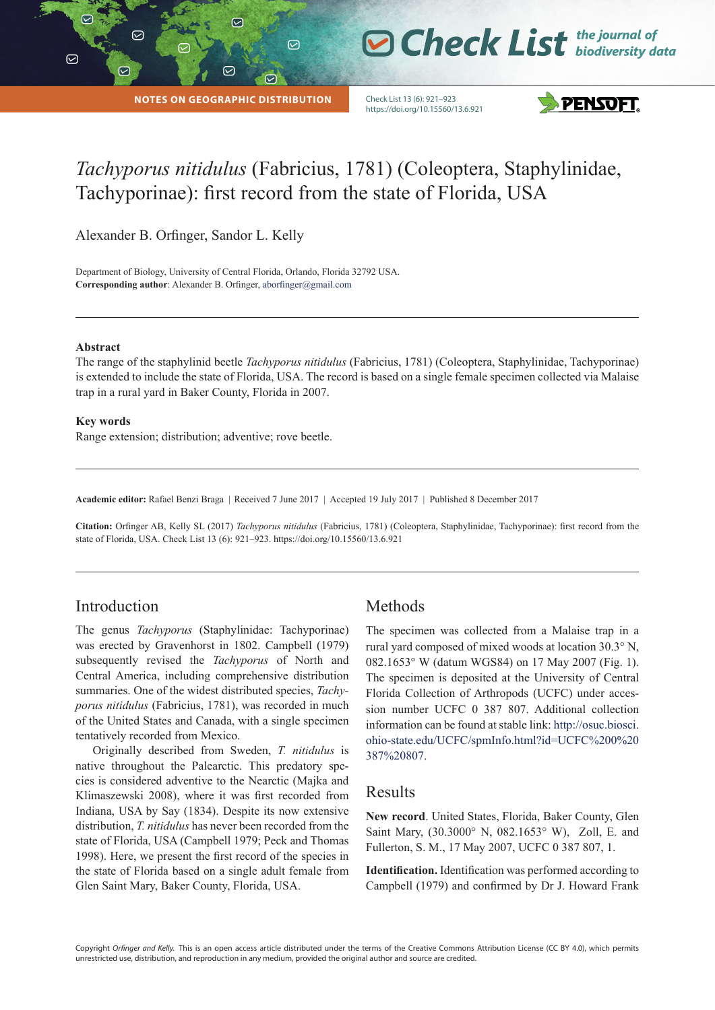$\triangledown$ 

|

**NOTES ON GEOGRAPHIC DISTRIBUTION**

 $\odot$ 

 $\odot$ 

 $\varpi$ 

Check List 13 (6): 921–923 https://doi.org/10.15560/13.6.921



**O Check List** the journal of

# *Tachyporus nitidulus* (Fabricius, 1781) (Coleoptera, Staphylinidae, Tachyporinae): first record from the state of Florida, USA

Alexander B. Orfinger, Sandor L. Kelly

Department of Biology, University of Central Florida, Orlando, Florida 32792 USA. **Corresponding author:** Alexander B. Orfinger, aborfinger@gmail.com

#### **Abstract**

The range of the staphylinid beetle *Tachyporus nitidulus* (Fabricius, 1781) (Coleoptera, Staphylinidae, Tachyporinae) is extended to include the state of Florida, USA. The record is based on a single female specimen collected via Malaise trap in a rural yard in Baker County, Florida in 2007.

#### **Key words**

Range extension; distribution; adventive; rove beetle.

**Academic editor:** Rafael Benzi Braga | Received 7 June 2017 | Accepted 19 July 2017 | Published 8 December 2017

**Citation:** Orfinger AB, Kelly SL (2017) *Tachyporus nitidulus* (Fabricius, 1781) (Coleoptera, Staphylinidae, Tachyporinae): first record from the state of Florida, USA. Check List 13 (6): 921–923. https://doi.org/10.15560/13.6.921

#### Introduction

The genus *Tachyporus* (Staphylinidae: Tachyporinae) was erected by Gravenhorst in 1802. Campbell (1979) subsequently revised the *Tachyporus* of North and Central America, including comprehensive distribution summaries. One of the widest distributed species, *Tachyporus nitidulus* (Fabricius, 1781), was recorded in much of the United States and Canada, with a single specimen tentatively recorded from Mexico.

Originally described from Sweden, *T. nitidulus* is native throughout the Palearctic. This predatory species is considered adventive to the Nearctic (Majka and Klimaszewski 2008), where it was first recorded from Indiana, USA by Say (1834). Despite its now extensive distribution, *T. nitidulus* has never been recorded from the state of Florida, USA (Campbell 1979; Peck and Thomas 1998). Here, we present the first record of the species in the state of Florida based on a single adult female from Glen Saint Mary, Baker County, Florida, USA.

#### Methods

The specimen was collected from a Malaise trap in a rural yard composed of mixed woods at location 30.3° N, 082.1653° W (datum WGS84) on 17 May 2007 (Fig. 1). The specimen is deposited at the University of Central Florida Collection of Arthropods (UCFC) under accession number UCFC 0 387 807. Additional collection information can be found at stable link: http://osuc.biosci. ohio-state.edu/UCFC/spmInfo.html?id=UCFC%200%20 387%20807.

#### Results

**New record**. United States, Florida, Baker County, Glen Saint Mary, (30.3000° N, 082.1653° W), Zoll, E. and Fullerton, S. M., 17 May 2007, UCFC 0 387 807, 1.

**Identification.** Identification was performed according to Campbell (1979) and confirmed by Dr J. Howard Frank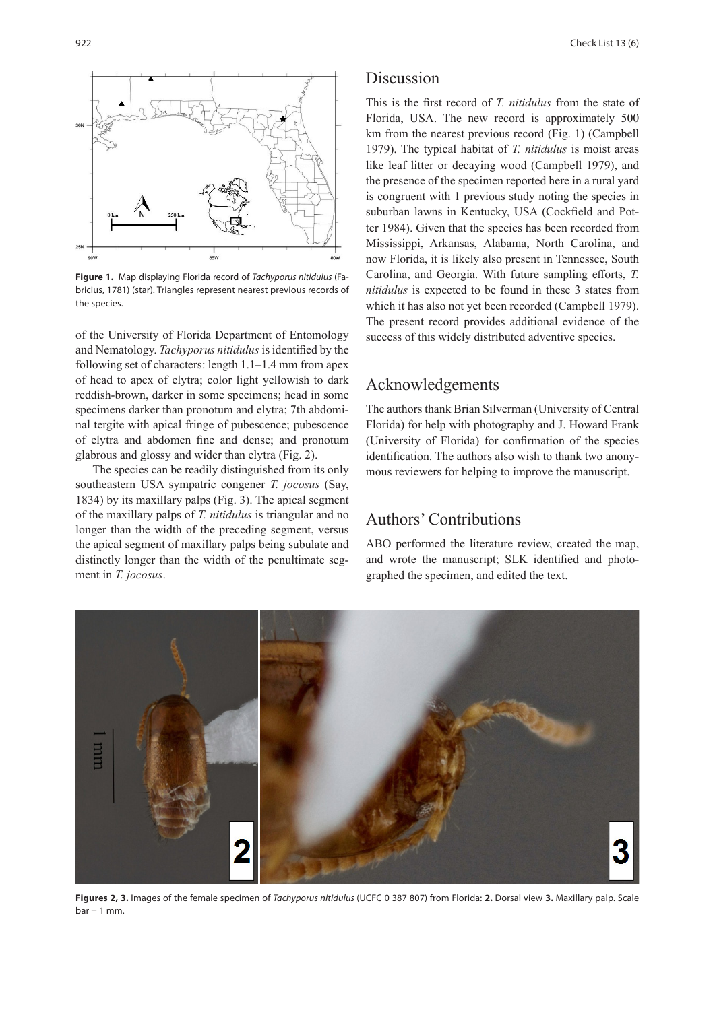

**Figure 1.** Map displaying Florida record of *Tachyporus nitidulus* (Fabricius, 1781) (star). Triangles represent nearest previous records of the species.

of the University of Florida Department of Entomology and Nematology. *Tachyporus nitidulus* is identified by the following set of characters: length 1.1–1.4 mm from apex of head to apex of elytra; color light yellowish to dark reddish-brown, darker in some specimens; head in some specimens darker than pronotum and elytra; 7th abdominal tergite with apical fringe of pubescence; pubescence of elytra and abdomen fine and dense; and pronotum glabrous and glossy and wider than elytra (Fig. 2).

The species can be readily distinguished from its only southeastern USA sympatric congener *T. jocosus* (Say, 1834) by its maxillary palps (Fig. 3). The apical segment of the maxillary palps of *T. nitidulus* is triangular and no longer than the width of the preceding segment, versus the apical segment of maxillary palps being subulate and distinctly longer than the width of the penultimate segment in *T. jocosus*.

### Discussion

This is the first record of *T. nitidulus* from the state of Florida, USA. The new record is approximately 500 km from the nearest previous record (Fig. 1) (Campbell 1979). The typical habitat of *T. nitidulus* is moist areas like leaf litter or decaying wood (Campbell 1979), and the presence of the specimen reported here in a rural yard is congruent with 1 previous study noting the species in suburban lawns in Kentucky, USA (Cockfield and Potter 1984). Given that the species has been recorded from Mississippi, Arkansas, Alabama, North Carolina, and now Florida, it is likely also present in Tennessee, South Carolina, and Georgia. With future sampling efforts, *T. nitidulus* is expected to be found in these 3 states from which it has also not yet been recorded (Campbell 1979). The present record provides additional evidence of the success of this widely distributed adventive species.

## Acknowledgements

The authors thank Brian Silverman (University of Central Florida) for help with photography and J. Howard Frank (University of Florida) for confirmation of the species identification. The authors also wish to thank two anonymous reviewers for helping to improve the manuscript.

## Authors' Contributions

ABO performed the literature review, created the map, and wrote the manuscript; SLK identified and photographed the specimen, and edited the text.



**Figures 2, 3.** Images of the female specimen of *Tachyporus nitidulus* (UCFC 0 387 807) from Florida: **2.** Dorsal view **3.** Maxillary palp. Scale  $bar = 1$  mm.